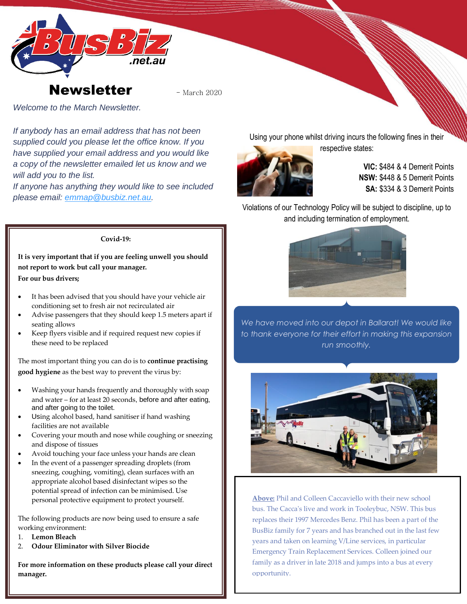



*Welcome to the March Newsletter.*

*If anybody has an email address that has not been supplied could you please let the office know. If you have supplied your email address and you would like a copy of the newsletter emailed let us know and we will add you to the list.*

*If anyone has anything they would like to see included please email: [emmap@busbiz.net.au.](mailto:emmap@busbiz.net.au)*

Using your phone whilst driving incurs the following fines in their respective states:



**VIC:** \$484 & 4 Demerit Points **NSW:** \$448 & 5 Demerit Points

**SA:** \$334 & 3 Demerit Points

Violations of our Technology Policy will be subject to discipline, up to and including termination of employment.

**Covid-19:**

**It is very important that if you are feeling unwell you should not report to work but call your manager. For our bus drivers;**

- It has been advised that you should have your vehicle air conditioning set to fresh air not recirculated air
- Advise passengers that they should keep 1.5 meters apart if seating allows
- Keep flyers visible and if required request new copies if these need to be replaced

The most important thing you can do is to **continue practising good hygiene** as the best way to prevent the virus by:

- Washing your hands frequently and thoroughly with soap and water – for at least 20 seconds, before and after eating, and after going to the toilet.
- Using alcohol based, hand sanitiser if hand washing facilities are not available
- Covering your mouth and nose while coughing or sneezing and dispose of tissues
- Avoid touching your face unless your hands are clean
- In the event of a passenger spreading droplets (from sneezing, coughing, vomiting), clean surfaces with an appropriate alcohol based disinfectant wipes so the potential spread of infection can be minimised. Use personal protective equipment to protect yourself.

The following products are now being used to ensure a safe working environment:

- 1. **Lemon Bleach**
- 2. **Odour Eliminator with Silver Biocide**

**For more information on these products please call your direct manager.**

*We have moved into our depot in Ballarat! We would like* 

*to thank everyone for their effort in making this expansion run smoothly.*



**Above:** Phil and Colleen Caccaviello with their new school bus. The Cacca's live and work in Tooleybuc, NSW. This bus replaces their 1997 Mercedes Benz. Phil has been a part of the BusBiz family for 7 years and has branched out in the last few years and taken on learning V/Line services, in particular Emergency Train Replacement Services. Colleen joined our family as a driver in late 2018 and jumps into a bus at every opportunity.